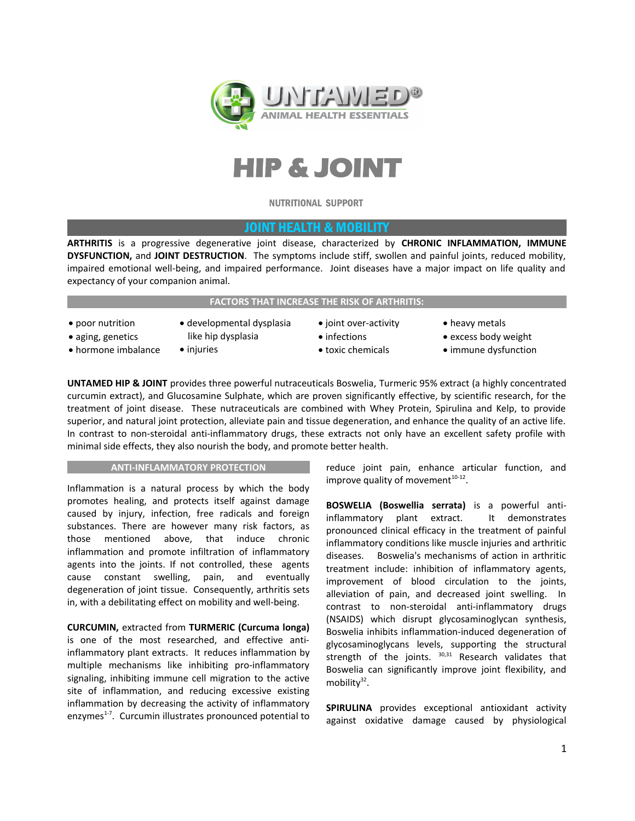



NUTRITIONAL SUPPORT

# JOINT HEALTH & MOBILITY

**ARTHRITIS** is a progressive degenerative joint disease, characterized by **CHRONIC INFLAMMATION, IMMUNE DYSFUNCTION,** and **JOINT DESTRUCTION**. The symptoms include stiff, swollen and painful joints, reduced mobility, impaired emotional well-being, and impaired performance. Joint diseases have a major impact on life quality and expectancy of your companion animal.

### **FACTORS THAT INCREASE THE RISK OF ARTHRITIS:**

- poor nutrition aging, genetics
- developmental dysplasia like hip dysplasia
- hormone imbalance
- injuries
- joint over-activity • infections
- toxic chemicals
- heavy metals
- excess body weight
- immune dysfunction

**UNTAMED HIP & JOINT** provides three powerful nutraceuticals Boswelia, Turmeric 95% extract (a highly concentrated curcumin extract), and Glucosamine Sulphate, which are proven significantly effective, by scientific research, for the treatment of joint disease. These nutraceuticals are combined with Whey Protein, Spirulina and Kelp, to provide superior, and natural joint protection, alleviate pain and tissue degeneration, and enhance the quality of an active life. In contrast to non-steroidal anti-inflammatory drugs, these extracts not only have an excellent safety profile with minimal side effects, they also nourish the body, and promote better health.

#### **ANTI-INFLAMMATORY PROTECTION**

Inflammation is a natural process by which the body promotes healing, and protects itself against damage caused by injury, infection, free radicals and foreign substances. There are however many risk factors, as those mentioned above, that induce chronic inflammation and promote infiltration of inflammatory agents into the joints. If not controlled, these agents cause constant swelling, pain, and eventually degeneration of joint tissue. Consequently, arthritis sets in, with a debilitating effect on mobility and well-being.

## **CURCUMIN,** extracted from **TURMERIC (Curcuma longa)** is one of the most researched, and effective antiinflammatory plant extracts. It reduces inflammation by multiple mechanisms like inhibiting pro-inflammatory signaling, inhibiting immune cell migration to the active site of inflammation, and reducing excessive existing inflammation by decreasing the activity of inflammatory enzymes<sup>1-7</sup>. Curcumin illustrates pronounced potential to

reduce joint pain, enhance articular function, and improve quality of movement $10-12$ .

**BOSWELIA (Boswellia serrata)** is a powerful antiinflammatory plant extract. It demonstrates pronounced clinical efficacy in the treatment of painful inflammatory conditions like muscle injuries and arthritic diseases. Boswelia's mechanisms of action in arthritic treatment include: inhibition of inflammatory agents, improvement of blood circulation to the joints, alleviation of pain, and decreased joint swelling. In contrast to non-steroidal anti-inflammatory drugs (NSAIDS) which disrupt glycosaminoglycan synthesis, Boswelia inhibits inflammation-induced degeneration of glycosaminoglycans levels, supporting the structural strength of the joints. <sup>30,31</sup> Research validates that Boswelia can significantly improve joint flexibility, and mobility<sup>32</sup>.

**SPIRULINA** provides exceptional antioxidant activity against oxidative damage caused by physiological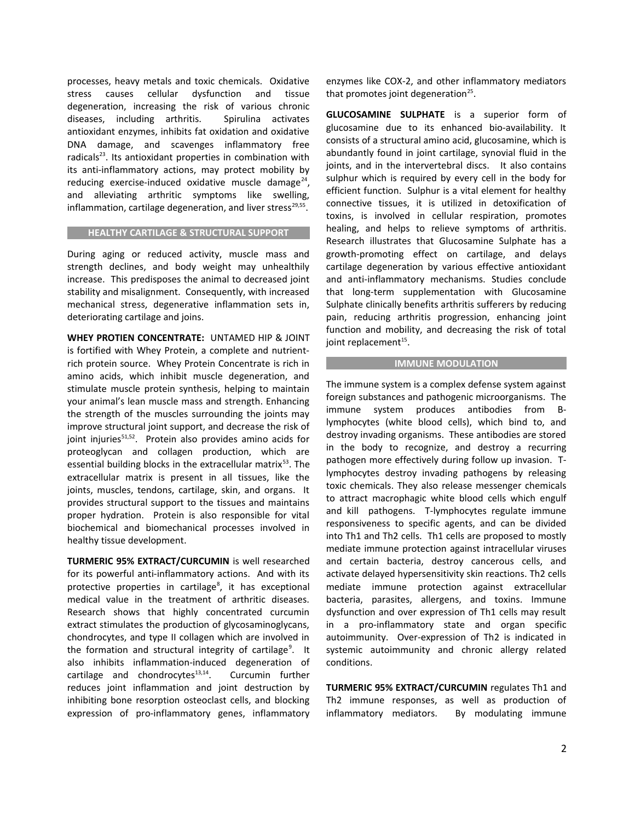processes, heavy metals and toxic chemicals. Oxidative stress causes cellular dysfunction and tissue degeneration, increasing the risk of various chronic diseases, including arthritis. Spirulina activates antioxidant enzymes, inhibits fat oxidation and oxidative DNA damage, and scavenges inflammatory free radicals $^{23}$ . Its antioxidant properties in combination with its anti-inflammatory actions, may protect mobility by reducing exercise-induced oxidative muscle damage<sup>24</sup>, and alleviating arthritic symptoms like swelling, inflammation, cartilage degeneration, and liver stress<sup>29,55</sup>.

### **HEALTHY CARTILAGE & STRUCTURAL SUPPORT**

During aging or reduced activity, muscle mass and strength declines, and body weight may unhealthily increase. This predisposes the animal to decreased joint stability and misalignment. Consequently, with increased mechanical stress, degenerative inflammation sets in, deteriorating cartilage and joins.

**WHEY PROTIEN CONCENTRATE:** UNTAMED HIP & JOINT is fortified with Whey Protein, a complete and nutrientrich protein source. Whey Protein Concentrate is rich in amino acids, which inhibit muscle degeneration, and stimulate muscle protein synthesis, helping to maintain your animal's lean muscle mass and strength. Enhancing the strength of the muscles surrounding the joints may improve structural joint support, and decrease the risk of joint injuries<sup>51,52</sup>. Protein also provides amino acids for proteoglycan and collagen production, which are essential building blocks in the extracellular matrix<sup>53</sup>. The extracellular matrix is present in all tissues, like the joints, muscles, tendons, cartilage, skin, and organs. It provides structural support to the tissues and maintains proper hydration. Protein is also responsible for vital biochemical and biomechanical processes involved in healthy tissue development.

**TURMERIC 95% EXTRACT/CURCUMIN** is well researched for its powerful anti-inflammatory actions. And with its protective properties in cartilage<sup>8</sup>, it has exceptional medical value in the treatment of arthritic diseases. Research shows that highly concentrated curcumin extract stimulates the production of glycosaminoglycans, chondrocytes, and type II collagen which are involved in the formation and structural integrity of cartilage<sup>9</sup>. It also inhibits inflammation-induced degeneration of cartilage and chondrocytes $13,14$ . Curcumin further reduces joint inflammation and joint destruction by inhibiting bone resorption osteoclast cells, and blocking expression of pro-inflammatory genes, inflammatory enzymes like COX-2, and other inflammatory mediators that promotes joint degeneration<sup>25</sup>.

**GLUCOSAMINE SULPHATE** is a superior form of glucosamine due to its enhanced bio-availability. It consists of a structural amino acid, glucosamine, which is abundantly found in joint cartilage, synovial fluid in the joints, and in the intervertebral discs. It also contains sulphur which is required by every cell in the body for efficient function. Sulphur is a vital element for healthy connective tissues, it is utilized in detoxification of toxins, is involved in cellular respiration, promotes healing, and helps to relieve symptoms of arthritis. Research illustrates that Glucosamine Sulphate has a growth-promoting effect on cartilage, and delays cartilage degeneration by various effective antioxidant and anti-inflammatory mechanisms. Studies conclude that long-term supplementation with Glucosamine Sulphate clinically benefits arthritis sufferers by reducing pain, reducing arthritis progression, enhancing joint function and mobility, and decreasing the risk of total joint replacement<sup>15</sup>.

#### **IMMUNE MODULATION**

The immune system is a complex defense system against foreign substances and pathogenic microorganisms. The immune system produces antibodies from Blymphocytes (white blood cells), which bind to, and destroy invading organisms. These antibodies are stored in the body to recognize, and destroy a recurring pathogen more effectively during follow up invasion. Tlymphocytes destroy invading pathogens by releasing toxic chemicals. They also release messenger chemicals to attract macrophagic white blood cells which engulf and kill pathogens. T-lymphocytes regulate immune responsiveness to specific agents, and can be divided into Th1 and Th2 cells. Th1 cells are proposed to mostly mediate immune protection against intracellular viruses and certain bacteria, destroy cancerous cells, and activate delayed hypersensitivity skin reactions. Th2 cells mediate immune protection against extracellular bacteria, parasites, allergens, and toxins. Immune dysfunction and over expression of Th1 cells may result in a pro-inflammatory state and organ specific autoimmunity. Over-expression of Th2 is indicated in systemic autoimmunity and chronic allergy related conditions.

**TURMERIC 95% EXTRACT/CURCUMIN** regulates Th1 and Th2 immune responses, as well as production of inflammatory mediators. By modulating immune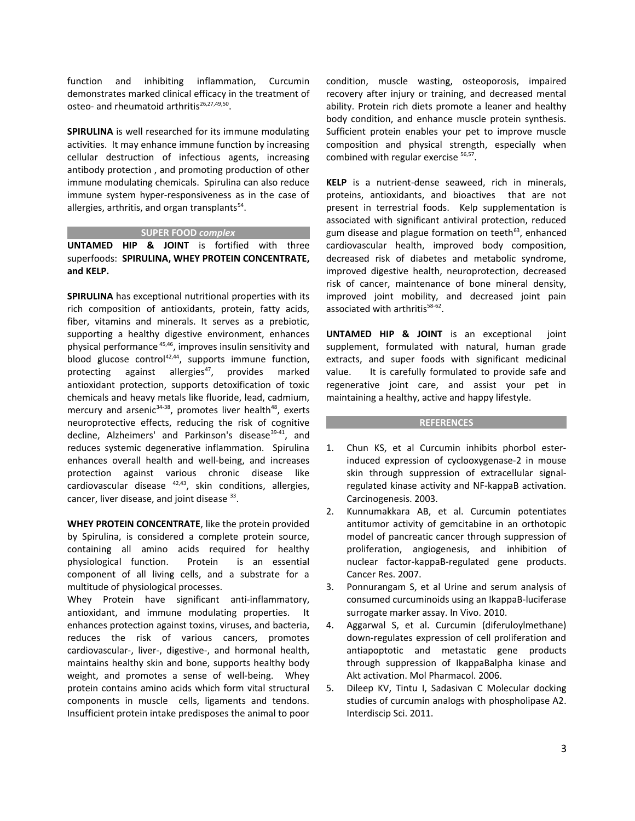function and inhibiting inflammation, Curcumin demonstrates marked clinical efficacy in the treatment of osteo- and rheumatoid arthritis<sup>26,27,49,50</sup>.

**SPIRULINA** is well researched for its immune modulating activities. It may enhance immune function by increasing cellular destruction of infectious agents, increasing antibody protection , and promoting production of other immune modulating chemicals. Spirulina can also reduce immune system hyper-responsiveness as in the case of allergies, arthritis, and organ transplants<sup>54</sup>.

### **SUPER FOOD** *complex*

**UNTAMED HIP & JOINT** is fortified with three superfoods: **SPIRULINA, WHEY PROTEIN CONCENTRATE, and KELP.**

**SPIRULINA** has exceptional nutritional properties with its rich composition of antioxidants, protein, fatty acids, fiber, vitamins and minerals. It serves as a prebiotic, supporting a healthy digestive environment, enhances physical performance<sup>45,46</sup>, improves insulin sensitivity and blood glucose control<sup>42,44</sup>, supports immune function, protecting against allergies<sup>47</sup>, provides marked antioxidant protection, supports detoxification of toxic chemicals and heavy metals like fluoride, lead, cadmium, mercury and arsenic $34-38$ , promotes liver health $48$ , exerts neuroprotective effects, reducing the risk of cognitive decline, Alzheimers' and Parkinson's disease<sup>39-41</sup>, and reduces systemic degenerative inflammation. Spirulina enhances overall health and well-being, and increases protection against various chronic disease like cardiovascular disease  $42,43$ , skin conditions, allergies, cancer, liver disease, and joint disease <sup>33</sup>.

**WHEY PROTEIN CONCENTRATE**, like the protein provided by Spirulina, is considered a complete protein source, containing all amino acids required for healthy physiological function. Protein is an essential component of all living cells, and a substrate for a multitude of physiological processes.

Whey Protein have significant anti-inflammatory, antioxidant, and immune modulating properties. It enhances protection against toxins, viruses, and bacteria, reduces the risk of various cancers, promotes cardiovascular-, liver-, digestive-, and hormonal health, maintains healthy skin and bone, supports healthy body weight, and promotes a sense of well-being. Whey protein contains amino acids which form vital structural components in muscle cells, ligaments and tendons. Insufficient protein intake predisposes the animal to poor condition, muscle wasting, osteoporosis, impaired recovery after injury or training, and decreased mental ability. Protein rich diets promote a leaner and healthy body condition, and enhance muscle protein synthesis. Sufficient protein enables your pet to improve muscle composition and physical strength, especially when combined with regular exercise <sup>56,57</sup>.

**KELP** is a nutrient-dense seaweed, rich in minerals, proteins, antioxidants, and bioactives that are not present in terrestrial foods. Kelp supplementation is associated with significant antiviral protection, reduced gum disease and plague formation on teeth<sup>63</sup>, enhanced cardiovascular health, improved body composition, decreased risk of diabetes and metabolic syndrome, improved digestive health, neuroprotection, decreased risk of cancer, maintenance of bone mineral density, improved joint mobility, and decreased joint pain associated with arthritis<sup>58-62</sup>.

**UNTAMED HIP & JOINT** is an exceptional joint supplement, formulated with natural, human grade extracts, and super foods with significant medicinal value. It is carefully formulated to provide safe and regenerative joint care, and assist your pet in maintaining a healthy, active and happy lifestyle.

### **REFERENCES**

- 1. Chun KS, et al Curcumin inhibits phorbol esterinduced expression of cyclooxygenase-2 in mouse skin through suppression of extracellular signalregulated kinase activity and NF-kappaB activation. Carcinogenesis. 2003.
- 2. Kunnumakkara AB, et al. Curcumin potentiates antitumor activity of gemcitabine in an orthotopic model of pancreatic cancer through suppression of proliferation, angiogenesis, and inhibition of nuclear factor-kappaB-regulated gene products. Cancer Res. 2007.

3. Ponnurangam S, et al Urine and serum analysis of consumed curcuminoids using an IkappaB-luciferase surrogate marker assay. In Vivo. 2010.

- 4. Aggarwal S, et al. Curcumin (diferuloylmethane) down-regulates expression of cell proliferation and antiapoptotic and metastatic gene products through suppression of IkappaBalpha kinase and Akt activation. Mol Pharmacol. 2006.
- 5. Dileep KV, Tintu I, Sadasivan C Molecular docking studies of curcumin analogs with phospholipase A2. Interdiscip Sci. 2011.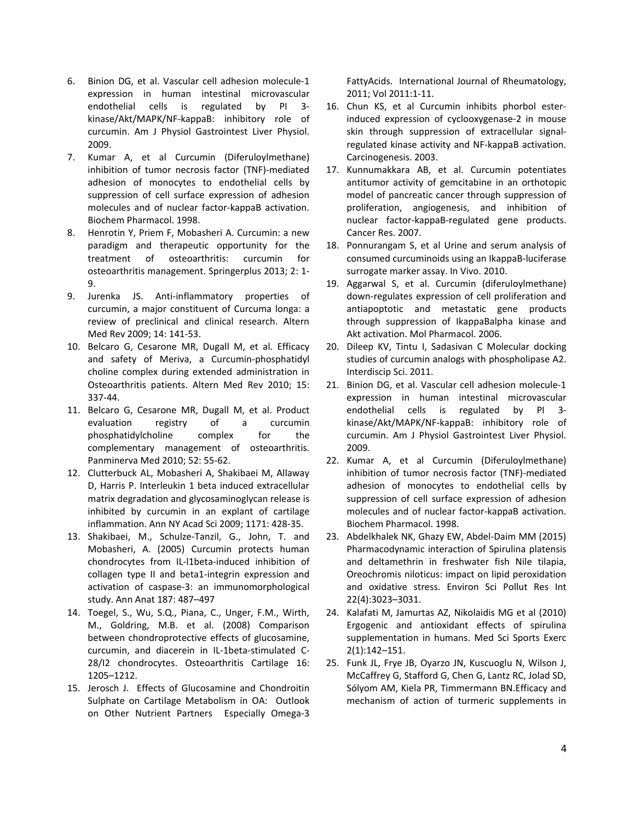- 6. Binion DG, et al. Vascular cell adhesion molecule-1 expression in human intestinal microvascular endothelial cells is regulated by PI 3 kinase/Akt/MAPK/NF-kappaB: inhibitory role of curcumin. Am J Physiol Gastrointest Liver Physiol. 2009.
- 7. Kumar A, et al Curcumin (Diferuloylmethane) inhibition of tumor necrosis factor (TNF)-mediated adhesion of monocytes to endothelial cells by suppression of cell surface expression of adhesion molecules and of nuclear factor-kappaB activation. Biochem Pharmacol. 1998.
- 8. Henrotin Y, Priem F, Mobasheri A. Curcumin: a new paradigm and therapeutic opportunity for the treatment of osteoarthritis: curcumin for osteoarthritis management. Springerplus 2013; 2: 1- 9.
- 9. Jurenka JS. Anti-inflammatory properties of curcumin, a major constituent of Curcuma longa: a review of preclinical and clinical research. Altern Med Rev 2009; 14: 141-53.
- 10. Belcaro G, Cesarone MR, Dugall M, et al. Efficacy and safety of Meriva, a Curcumin-phosphatidyl choline complex during extended administration in Osteoarthritis patients. Altern Med Rev 2010; 15: 337-44.
- 11. Belcaro G, Cesarone MR, Dugall M, et al. Product evaluation registry of a curcumin phosphatidylcholine complex for the complementary management of osteoarthritis. Panminerva Med 2010; 52: 55-62.
- 12. Clutterbuck AL, Mobasheri A, Shakibaei M, Allaway D, Harris P. Interleukin 1 beta induced extracellular matrix degradation and glycosaminoglycan release is inhibited by curcumin in an explant of cartilage inflammation. Ann NY Acad Sci 2009; 1171: 428-35.
- 13. Shakibaei, M., Schulze-Tanzil, G., John, T. and Mobasheri, A. (2005) Curcumin protects human chondrocytes from IL-l1beta-induced inhibition of collagen type II and beta1-integrin expression and activation of caspase-3: an immunomorphological study. Ann Anat 187: 487–497
- 14. Toegel, S., Wu, S.Q., Piana, C., Unger, F.M., Wirth, M., Goldring, M.B. et al. (2008) Comparison between chondroprotective effects of glucosamine, curcumin, and diacerein in IL-1beta-stimulated C-28/I2 chondrocytes. Osteoarthritis Cartilage 16: 1205–1212.
- 15. Jerosch J. Effects of Glucosamine and Chondroitin Sulphate on Cartilage Metabolism in OA: Outlook on Other Nutrient Partners Especially Omega-3

FattyAcids. International Journal of Rheumatology, 2011; Vol 2011:1-11.

- 16. Chun KS, et al Curcumin inhibits phorbol esterinduced expression of cyclooxygenase-2 in mouse skin through suppression of extracellular signalregulated kinase activity and NF-kappaB activation. Carcinogenesis. 2003.
- 17. Kunnumakkara AB, et al. Curcumin potentiates antitumor activity of gemcitabine in an orthotopic model of pancreatic cancer through suppression of proliferation, angiogenesis, and inhibition of nuclear factor-kappaB-regulated gene products. Cancer Res. 2007.
- 18. Ponnurangam S, et al Urine and serum analysis of consumed curcuminoids using an IkappaB-luciferase surrogate marker assay. In Vivo. 2010.
- 19. Aggarwal S, et al. Curcumin (diferuloylmethane) down-regulates expression of cell proliferation and antiapoptotic and metastatic gene products through suppression of IkappaBalpha kinase and Akt activation. Mol Pharmacol. 2006.
- 20. Dileep KV, Tintu I, Sadasivan C Molecular docking studies of curcumin analogs with phospholipase A2. Interdiscip Sci. 2011.
- 21. Binion DG, et al. Vascular cell adhesion molecule-1 expression in human intestinal microvascular endothelial cells is regulated by PI 3 kinase/Akt/MAPK/NF-kappaB: inhibitory role of curcumin. Am J Physiol Gastrointest Liver Physiol. 2009.
- 22. Kumar A, et al Curcumin (Diferuloylmethane) inhibition of tumor necrosis factor (TNF)-mediated adhesion of monocytes to endothelial cells by suppression of cell surface expression of adhesion molecules and of nuclear factor-kappaB activation. Biochem Pharmacol. 1998.
- 23. Abdelkhalek NK, Ghazy EW, Abdel-Daim MM (2015) Pharmacodynamic interaction of Spirulina platensis and deltamethrin in freshwater fish Nile tilapia, Oreochromis niloticus: impact on lipid peroxidation and oxidative stress. Environ Sci Pollut Res Int 22(4):3023–3031.
- 24. Kalafati M, Jamurtas AZ, Nikolaidis MG et al (2010) Ergogenic and antioxidant effects of spirulina supplementation in humans. Med Sci Sports Exerc 2(1):142–151.
- 25. Funk JL, Frye JB, Oyarzo JN, Kuscuoglu N, Wilson J, McCaffrey G, Stafford G, Chen G, Lantz RC, Jolad SD, Sólyom AM, Kiela PR, Timmermann BN.Efficacy and mechanism of action of turmeric supplements in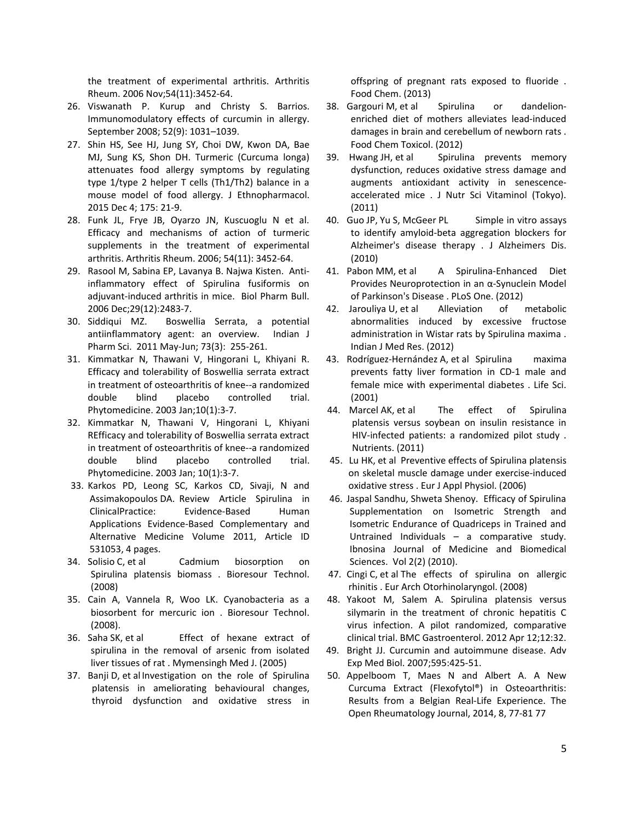the treatment of experimental arthritis. Arthritis Rheum. 2006 Nov;54(11):3452-64.

- 26. Viswanath P. Kurup and Christy S. Barrios. Immunomodulatory effects of curcumin in allergy. September 2008; 52(9): 1031–1039.
- 27. Shin HS, See HJ, Jung SY, Choi DW, Kwon DA, Bae MJ, Sung KS, Shon DH. Turmeric (Curcuma longa) attenuates food allergy symptoms by regulating type 1/type 2 helper T cells (Th1/Th2) balance in a mouse model of food allergy. J Ethnopharmacol. 2015 Dec 4; 175: 21-9.
- 28. Funk JL, Frye JB, Oyarzo JN, Kuscuoglu N et al. Efficacy and mechanisms of action of turmeric supplements in the treatment of experimental arthritis. Arthritis Rheum. 2006; 54(11): 3452-64.
- 29. Rasool M, Sabina EP, Lavanya B. Najwa Kisten. Antiinflammatory effect of Spirulina fusiformis on adjuvant-induced arthritis in mice. Biol Pharm Bull. 2006 Dec;29(12):2483-7.
- 30. Siddiqui MZ. Boswellia Serrata, a potential antiinflammatory agent: an overview. Indian J Pharm Sci. 2011 May-Jun; 73(3): 255-261.
- 31. Kimmatkar N, Thawani V, Hingorani L, Khiyani R. Efficacy and tolerability of Boswellia serrata extract in treatment of osteoarthritis of knee--a randomized double blind placebo controlled trial. Phytomedicine. 2003 Jan;10(1):3-7.
- 32. Kimmatkar N, Thawani V, Hingorani L, Khiyani REfficacy and tolerability of Boswellia serrata extract in treatment of osteoarthritis of knee--a randomized double blind placebo controlled trial. Phytomedicine. 2003 Jan; 10(1):3-7.
- 33. Karkos PD, Leong SC, Karkos CD, Sivaji, N and Assimakopoulos DA. Review Article Spirulina in ClinicalPractice: Evidence-Based Human Applications Evidence-Based Complementary and Alternative Medicine Volume 2011, Article ID 531053, 4 pages.
- 34. Solisio C, et al Cadmium biosorption on Spirulina platensis biomass . Bioresour Technol. (2008)
- 35. Cain A, Vannela R, Woo LK. Cyanobacteria as a biosorbent for mercuric ion . Bioresour Technol. (2008).
- 36. Saha SK, et al Effect of hexane extract of spirulina in the removal of arsenic from isolated liver tissues of rat . Mymensingh Med J. (2005)
- 37. Banji D, et al Investigation on the role of Spirulina platensis in ameliorating behavioural changes, thyroid dysfunction and oxidative stress in

offspring of pregnant rats exposed to fluoride . Food Chem. (2013)

- 38. Gargouri M, et al Spirulina or dandelionenriched diet of mothers alleviates lead-induced damages in brain and cerebellum of newborn rats . Food Chem Toxicol. (2012)
- 39. Hwang JH, et al Spirulina prevents memory dysfunction, reduces oxidative stress damage and augments antioxidant activity in senescenceaccelerated mice . J Nutr Sci Vitaminol (Tokyo). (2011)
- 40. Guo JP, Yu S, McGeer PL Simple in vitro assays to identify amyloid-beta aggregation blockers for Alzheimer's disease therapy . J Alzheimers Dis. (2010)
- 41. Pabon MM, et al A Spirulina-Enhanced Diet Provides Neuroprotection in an α-Synuclein Model of Parkinson's Disease . PLoS One. (2012)
- 42. Jarouliya U, et al Alleviation of metabolic abnormalities induced by excessive fructose administration in Wistar rats by Spirulina maxima . Indian J Med Res. (2012)
- 43. Rodríguez-Hernández A, et al Spirulina maxima prevents fatty liver formation in CD-1 male and female mice with experimental diabetes . Life Sci. (2001)
- 44. Marcel AK, et al The effect of Spirulina platensis versus soybean on insulin resistance in HIV-infected patients: a randomized pilot study . Nutrients. (2011)
- 45. Lu HK, et al Preventive effects of Spirulina platensis on skeletal muscle damage under exercise-induced oxidative stress . Eur J Appl Physiol. (2006)
- 46. Jaspal Sandhu, Shweta Shenoy. Efficacy of Spirulina Supplementation on Isometric Strength and Isometric Endurance of Quadriceps in Trained and Untrained Individuals – a comparative study. Ibnosina Journal of Medicine and Biomedical Sciences. Vol 2(2) (2010).
- 47. Cingi C, et al The effects of spirulina on allergic rhinitis . Eur Arch Otorhinolaryngol. (2008)
- 48. Yakoot M, Salem A. Spirulina platensis versus silymarin in the treatment of chronic hepatitis C virus infection. A pilot randomized, comparative clinical trial. BMC Gastroenterol. 2012 Apr 12;12:32.
- 49. Bright JJ. Curcumin and autoimmune disease. Adv Exp Med Biol. 2007;595:425-51.
- 50. Appelboom T, Maes N and Albert A. A New Curcuma Extract (Flexofytol®) in Osteoarthritis: Results from a Belgian Real-Life Experience. The Open Rheumatology Journal, 2014, 8, 77-81 77